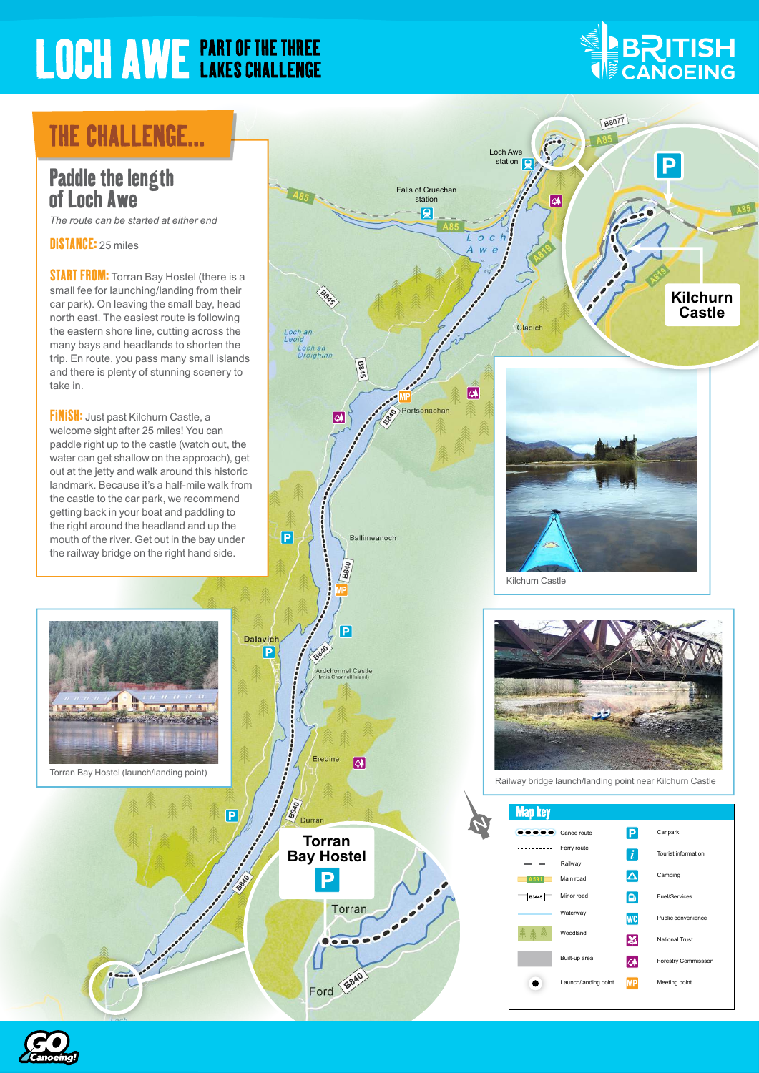# **LOCH AWE PART OF THE THREE**

# **ENTISH**

## **THE CHALLENGE...**

#### Paddle the length of Loch Awe

*The route can be started at either end*

DISTANCE: 25 miles

**START FROM:** Torran Bay Hostel (there is a small fee for launching/landing from their car park). On leaving the small bay, head north east. The easiest route is following the eastern shore line, cutting across the many bays and headlands to shorten the trip. En route, you pass many small islands and there is plenty of stunning scenery to take in.

**FINISH:** Just past Kilchurn Castle, a welcome sight after 25 miles! You can paddle right up to the castle (watch out, the water can get shallow on the approach), get out at the jetty and walk around this historic landmark. Because it's a half-mile walk from the castle to the car park, we recommend getting back in your boat and paddling to the right around the headland and up the mouth of the river. Get out in the bay under the railway bridge on the right hand side.



Torran Bay Hostel (launch/landing point)

 $\overline{P}$ 

**Beech** 



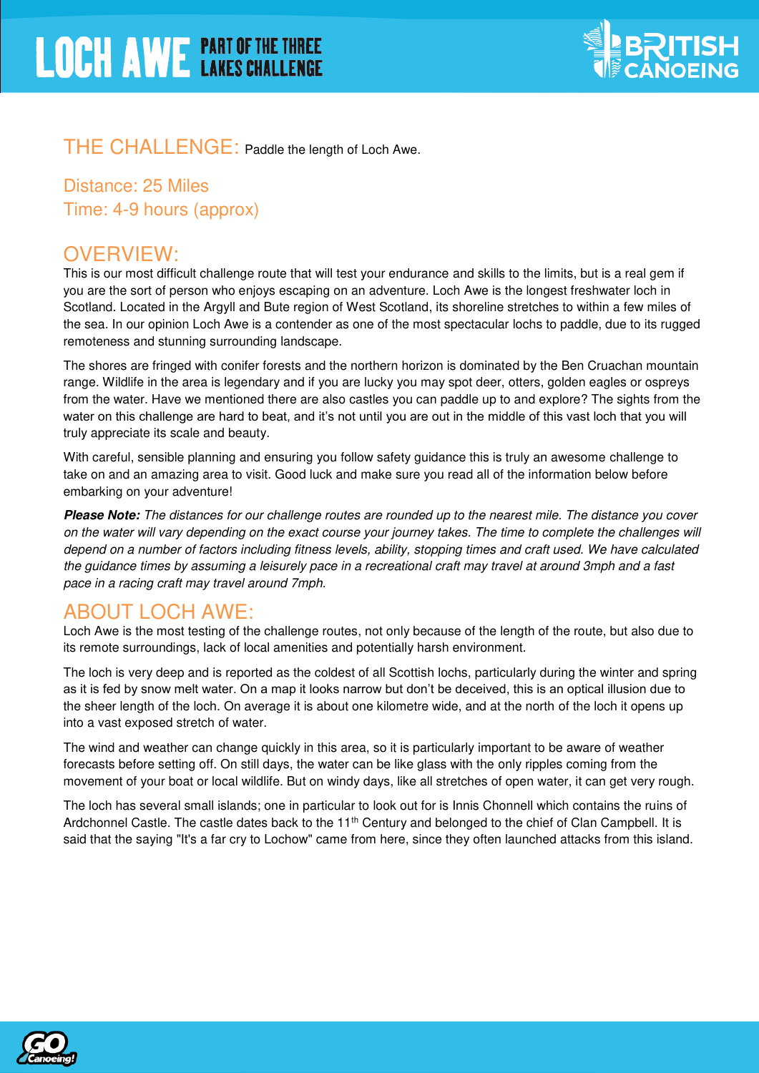

#### THE CHALLENGE: Paddle the length of Loch Awe.

Distance: 25 Miles Time: 4-9 hours (approx)

#### OVERVIEW:

This is our most difficult challenge route that will test your endurance and skills to the limits, but is a real gem if you are the sort of person who enjoys escaping on an adventure. Loch Awe is the longest freshwater loch in Scotland. Located in the Argyll and Bute region of West Scotland, its shoreline stretches to within a few miles of the sea. In our opinion Loch Awe is a contender as one of the most spectacular lochs to paddle, due to its rugged remoteness and stunning surrounding landscape.

The shores are fringed with conifer forests and the northern horizon is dominated by the Ben Cruachan mountain range. Wildlife in the area is legendary and if you are lucky you may spot deer, otters, golden eagles or ospreys from the water. Have we mentioned there are also castles you can paddle up to and explore? The sights from the water on this challenge are hard to beat, and it's not until you are out in the middle of this vast loch that you will truly appreciate its scale and beauty.

With careful, sensible planning and ensuring you follow safety guidance this is truly an awesome challenge to take on and an amazing area to visit. Good luck and make sure you read all of the information below before embarking on your adventure!

**Please Note:** The distances for our challenge routes are rounded up to the nearest mile. The distance you cover on the water will vary depending on the exact course your journey takes. The time to complete the challenges will depend on a number of factors including fitness levels, ability, stopping times and craft used. We have calculated the guidance times by assuming a leisurely pace in a recreational craft may travel at around 3mph and a fast pace in a racing craft may travel around 7mph.

#### ABOUT LOCH AWE:

Loch Awe is the most testing of the challenge routes, not only because of the length of the route, but also due to its remote surroundings, lack of local amenities and potentially harsh environment.

The loch is very deep and is reported as the coldest of all Scottish lochs, particularly during the winter and spring as it is fed by snow melt water. On a map it looks narrow but don't be deceived, this is an optical illusion due to the sheer length of the loch. On average it is about one kilometre wide, and at the north of the loch it opens up into a vast exposed stretch of water.

The wind and weather can change quickly in this area, so it is particularly important to be aware of weather forecasts before setting off. On still days, the water can be like glass with the only ripples coming from the movement of your boat or local wildlife. But on windy days, like all stretches of open water, it can get very rough.

The loch has several small islands; one in particular to look out for is Innis Chonnell which contains the ruins of Ardchonnel Castle. The castle dates back to the 11<sup>th</sup> Century and belonged to the chief of Clan Campbell. It is said that the saying "It's a far cry to Lochow" came from here, since they often launched attacks from this island.

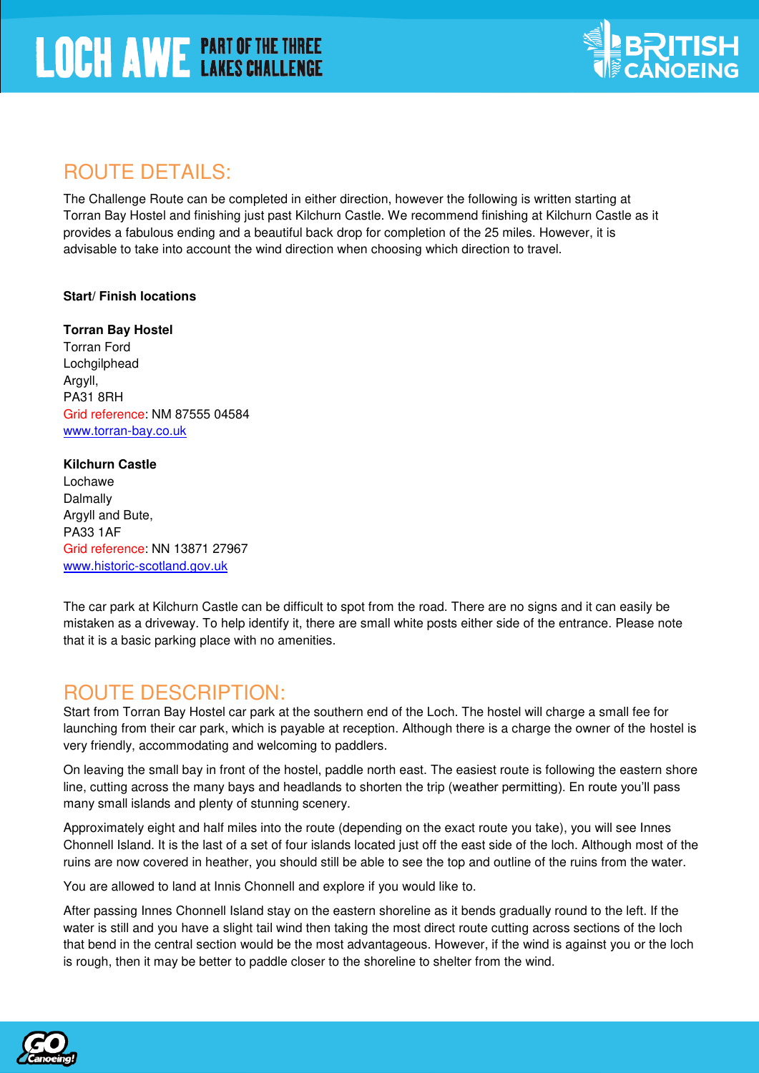

## ROUTE DETAILS:

The Challenge Route can be completed in either direction, however the following is written starting at Torran Bay Hostel and finishing just past Kilchurn Castle. We recommend finishing at Kilchurn Castle as it provides a fabulous ending and a beautiful back drop for completion of the 25 miles. However, it is advisable to take into account the wind direction when choosing which direction to travel.

#### **Start/ Finish locations**

**Torran Bay Hostel**  Torran Ford Lochgilphead Argyll, PA31 8RH Grid reference: NM 87555 04584 [www.torran-bay.co.uk](http://www.torran-bay.co.uk/) 

#### **Kilchurn Castle**

Lochawe Dalmally Argyll and Bute, PA33 1AF Grid reference: NN 13871 27967 [www.historic-scotland.gov.uk](http://www.historic-scotland.gov.uk/)

The car park at Kilchurn Castle can be difficult to spot from the road. There are no signs and it can easily be mistaken as a driveway. To help identify it, there are small white posts either side of the entrance. Please note that it is a basic parking place with no amenities.

#### ROUTE DESCRIPTION:

Start from Torran Bay Hostel car park at the southern end of the Loch. The hostel will charge a small fee for launching from their car park, which is payable at reception. Although there is a charge the owner of the hostel is very friendly, accommodating and welcoming to paddlers.

On leaving the small bay in front of the hostel, paddle north east. The easiest route is following the eastern shore line, cutting across the many bays and headlands to shorten the trip (weather permitting). En route you'll pass many small islands and plenty of stunning scenery.

Approximately eight and half miles into the route (depending on the exact route you take), you will see Innes Chonnell Island. It is the last of a set of four islands located just off the east side of the loch. Although most of the ruins are now covered in heather, you should still be able to see the top and outline of the ruins from the water.

You are allowed to land at Innis Chonnell and explore if you would like to.

After passing Innes Chonnell Island stay on the eastern shoreline as it bends gradually round to the left. If the water is still and you have a slight tail wind then taking the most direct route cutting across sections of the loch that bend in the central section would be the most advantageous. However, if the wind is against you or the loch is rough, then it may be better to paddle closer to the shoreline to shelter from the wind.

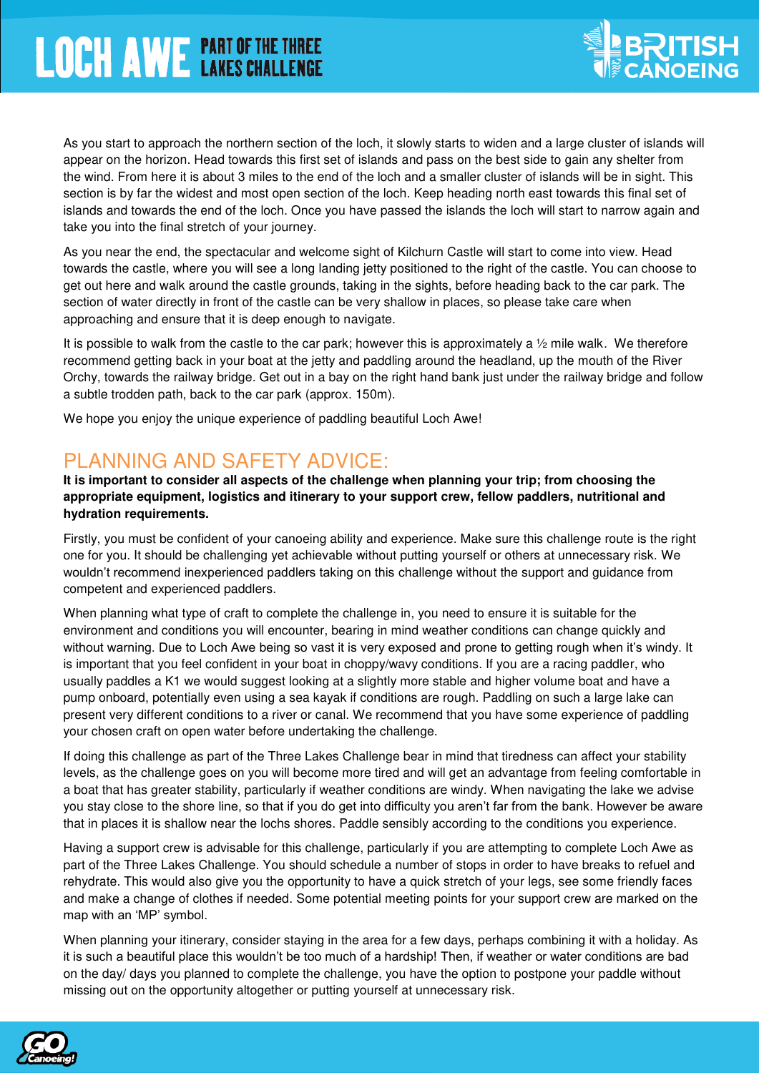

As you start to approach the northern section of the loch, it slowly starts to widen and a large cluster of islands will appear on the horizon. Head towards this first set of islands and pass on the best side to gain any shelter from the wind. From here it is about 3 miles to the end of the loch and a smaller cluster of islands will be in sight. This section is by far the widest and most open section of the loch. Keep heading north east towards this final set of islands and towards the end of the loch. Once you have passed the islands the loch will start to narrow again and take you into the final stretch of your journey.

As you near the end, the spectacular and welcome sight of Kilchurn Castle will start to come into view. Head towards the castle, where you will see a long landing jetty positioned to the right of the castle. You can choose to get out here and walk around the castle grounds, taking in the sights, before heading back to the car park. The section of water directly in front of the castle can be very shallow in places, so please take care when approaching and ensure that it is deep enough to navigate.

It is possible to walk from the castle to the car park; however this is approximately a  $\frac{1}{2}$  mile walk. We therefore recommend getting back in your boat at the jetty and paddling around the headland, up the mouth of the River Orchy, towards the railway bridge. Get out in a bay on the right hand bank just under the railway bridge and follow a subtle trodden path, back to the car park (approx. 150m).

We hope you enjoy the unique experience of paddling beautiful Loch Awe!

## PLANNING AND SAFETY ADVICE:

**It is important to consider all aspects of the challenge when planning your trip; from choosing the appropriate equipment, logistics and itinerary to your support crew, fellow paddlers, nutritional and hydration requirements.** 

Firstly, you must be confident of your canoeing ability and experience. Make sure this challenge route is the right one for you. It should be challenging yet achievable without putting yourself or others at unnecessary risk. We wouldn't recommend inexperienced paddlers taking on this challenge without the support and guidance from competent and experienced paddlers.

When planning what type of craft to complete the challenge in, you need to ensure it is suitable for the environment and conditions you will encounter, bearing in mind weather conditions can change quickly and without warning. Due to Loch Awe being so vast it is very exposed and prone to getting rough when it's windy. It is important that you feel confident in your boat in choppy/wavy conditions. If you are a racing paddler, who usually paddles a K1 we would suggest looking at a slightly more stable and higher volume boat and have a pump onboard, potentially even using a sea kayak if conditions are rough. Paddling on such a large lake can present very different conditions to a river or canal. We recommend that you have some experience of paddling your chosen craft on open water before undertaking the challenge.

If doing this challenge as part of the Three Lakes Challenge bear in mind that tiredness can affect your stability levels, as the challenge goes on you will become more tired and will get an advantage from feeling comfortable in a boat that has greater stability, particularly if weather conditions are windy. When navigating the lake we advise you stay close to the shore line, so that if you do get into difficulty you aren't far from the bank. However be aware that in places it is shallow near the lochs shores. Paddle sensibly according to the conditions you experience.

Having a support crew is advisable for this challenge, particularly if you are attempting to complete Loch Awe as part of the Three Lakes Challenge. You should schedule a number of stops in order to have breaks to refuel and rehydrate. This would also give you the opportunity to have a quick stretch of your legs, see some friendly faces and make a change of clothes if needed. Some potential meeting points for your support crew are marked on the map with an 'MP' symbol.

When planning your itinerary, consider staying in the area for a few days, perhaps combining it with a holiday. As it is such a beautiful place this wouldn't be too much of a hardship! Then, if weather or water conditions are bad on the day/ days you planned to complete the challenge, you have the option to postpone your paddle without missing out on the opportunity altogether or putting yourself at unnecessary risk.

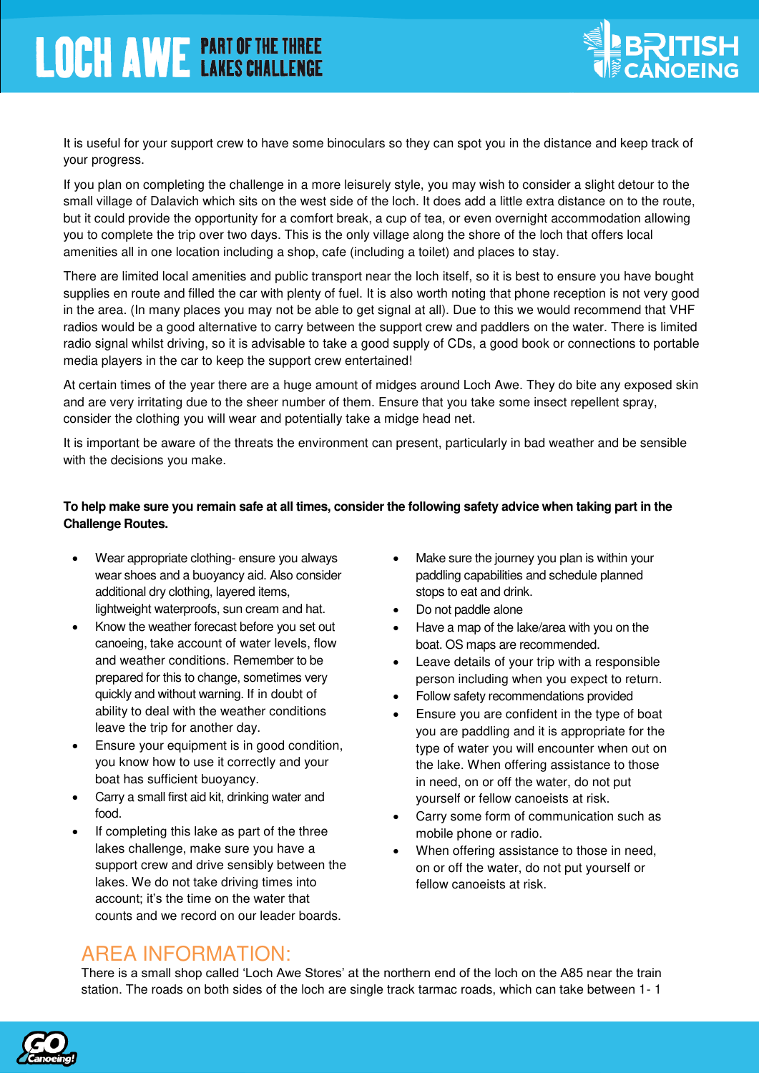

It is useful for your support crew to have some binoculars so they can spot you in the distance and keep track of your progress.

If you plan on completing the challenge in a more leisurely style, you may wish to consider a slight detour to the small village of Dalavich which sits on the west side of the loch. It does add a little extra distance on to the route, but it could provide the opportunity for a comfort break, a cup of tea, or even overnight accommodation allowing you to complete the trip over two days. This is the only village along the shore of the loch that offers local amenities all in one location including a shop, cafe (including a toilet) and places to stay.

There are limited local amenities and public transport near the loch itself, so it is best to ensure you have bought supplies en route and filled the car with plenty of fuel. It is also worth noting that phone reception is not very good in the area. (In many places you may not be able to get signal at all). Due to this we would recommend that VHF radios would be a good alternative to carry between the support crew and paddlers on the water. There is limited radio signal whilst driving, so it is advisable to take a good supply of CDs, a good book or connections to portable media players in the car to keep the support crew entertained!

At certain times of the year there are a huge amount of midges around Loch Awe. They do bite any exposed skin and are very irritating due to the sheer number of them. Ensure that you take some insect repellent spray, consider the clothing you will wear and potentially take a midge head net.

It is important be aware of the threats the environment can present, particularly in bad weather and be sensible with the decisions you make.

#### **To help make sure you remain safe at all times, consider the following safety advice when taking part in the Challenge Routes.**

- Wear appropriate clothing- ensure you always wear shoes and a buoyancy aid. Also consider additional dry clothing, layered items, lightweight waterproofs, sun cream and hat.
- Know the weather forecast before you set out canoeing, take account of water levels, flow and weather conditions. Remember to be prepared for this to change, sometimes very quickly and without warning. If in doubt of ability to deal with the weather conditions leave the trip for another day.
- **Ensure your equipment is in good condition,** you know how to use it correctly and your boat has sufficient buoyancy.
- Carry a small first aid kit, drinking water and food.
- If completing this lake as part of the three lakes challenge, make sure you have a support crew and drive sensibly between the lakes. We do not take driving times into account; it's the time on the water that counts and we record on our leader boards.
- Make sure the journey you plan is within your paddling capabilities and schedule planned stops to eat and drink.
- Do not paddle alone
- Have a map of the lake/area with you on the boat. OS maps are recommended.
- Leave details of your trip with a responsible person including when you expect to return.
- Follow safety recommendations provided
- Ensure you are confident in the type of boat you are paddling and it is appropriate for the type of water you will encounter when out on the lake. When offering assistance to those in need, on or off the water, do not put yourself or fellow canoeists at risk.
- Carry some form of communication such as mobile phone or radio.
- When offering assistance to those in need, on or off the water, do not put yourself or fellow canoeists at risk.

#### AREA INFORMATION:

There is a small shop called 'Loch Awe Stores' at the northern end of the loch on the A85 near the train station. The roads on both sides of the loch are single track tarmac roads, which can take between 1- 1

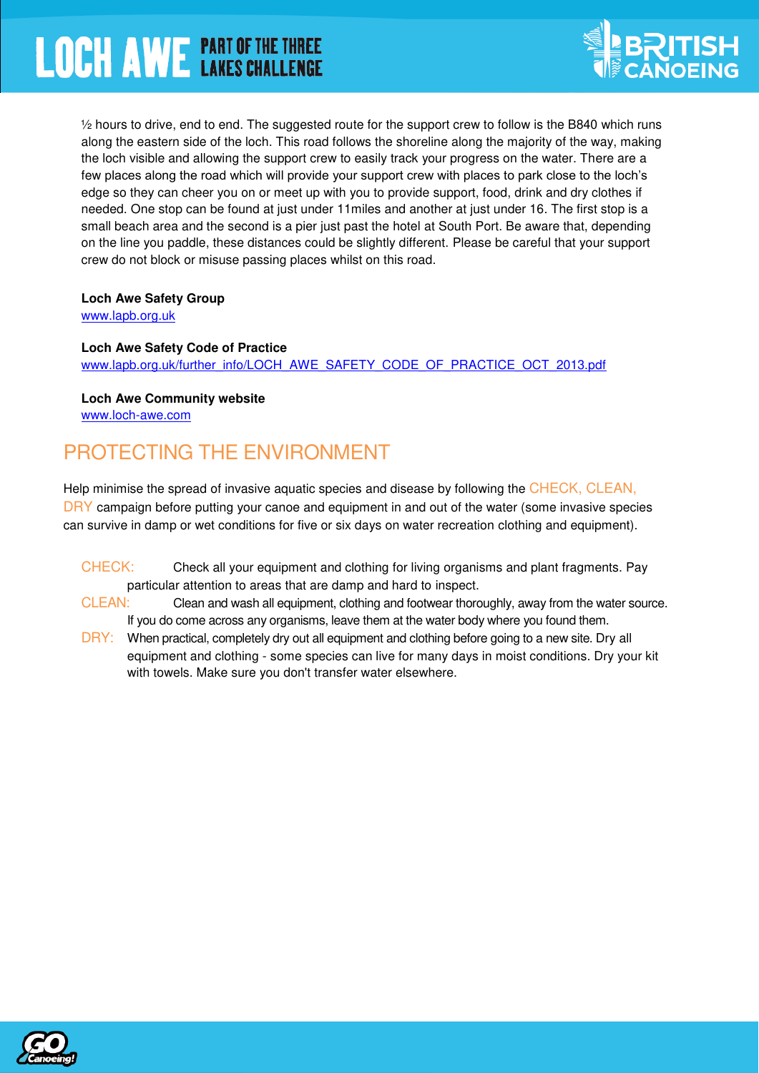

 $\frac{1}{2}$  hours to drive, end to end. The suggested route for the support crew to follow is the B840 which runs along the eastern side of the loch. This road follows the shoreline along the majority of the way, making the loch visible and allowing the support crew to easily track your progress on the water. There are a few places along the road which will provide your support crew with places to park close to the loch's edge so they can cheer you on or meet up with you to provide support, food, drink and dry clothes if needed. One stop can be found at just under 11miles and another at just under 16. The first stop is a small beach area and the second is a pier just past the hotel at South Port. Be aware that, depending on the line you paddle, these distances could be slightly different. Please be careful that your support crew do not block or misuse passing places whilst on this road.

#### **Loch Awe Safety Group**

[www.lapb.org.uk](http://www.lapb.org.uk/) 

#### **Loch Awe Safety Code of Practice**

www.lapb.org.uk/further\_info/LOCH\_AWE\_SAFETY\_CODE\_OF\_PRACTICE\_OCT\_2013.pdf

**Loch Awe Community website**  [www.loch-awe.com](http://www.loch-awe.com/) 

## PROTECTING THE ENVIRONMENT

Help minimise the spread of invasive aquatic species and disease by following the CHECK, CLEAN, DRY campaign before putting your canoe and equipment in and out of the water (some invasive species can survive in damp or wet conditions for five or six days on water recreation clothing and equipment).

- CHECK:Check all your equipment and clothing for living organisms and plant fragments. Pay particular attention to areas that are damp and hard to inspect.
- CLEAN:Clean and wash all equipment, clothing and footwear thoroughly, away from the water source. If you do come across any organisms, leave them at the water body where you found them.
- DRY: When practical, completely dry out all equipment and clothing before going to a new site. Dry all equipment and clothing - some species can live for many days in moist conditions. Dry your kit with towels. Make sure you don't transfer water elsewhere.